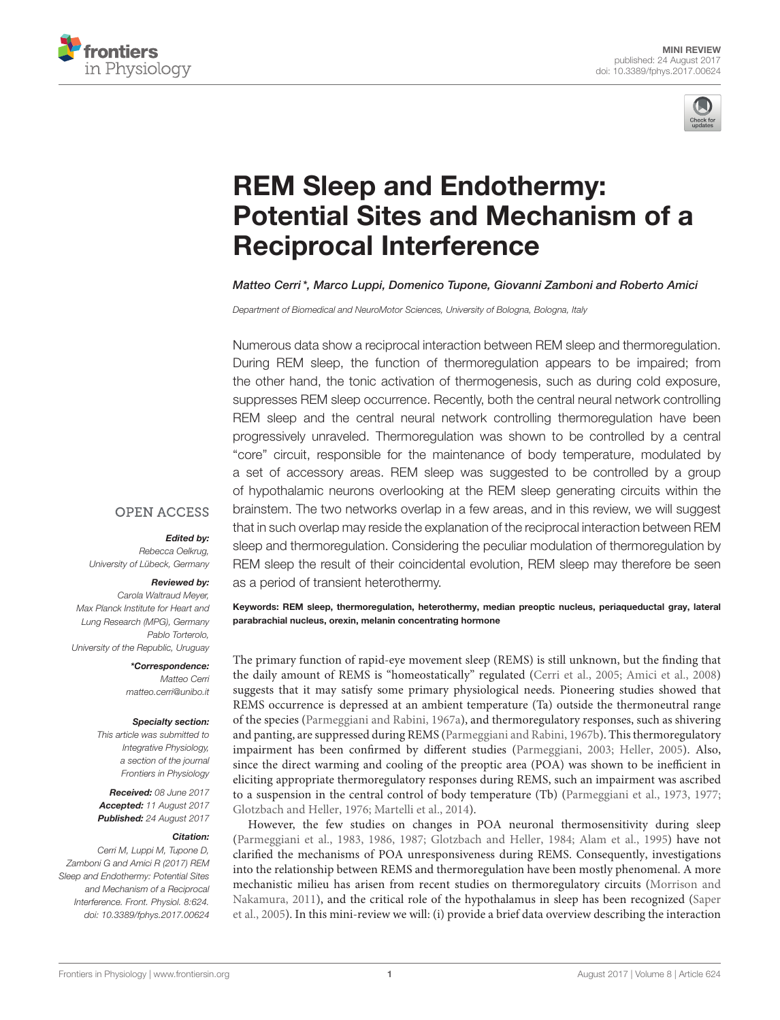



# REM Sleep and Endothermy: [Potential Sites and Mechanism of a](http://journal.frontiersin.org/article/10.3389/fphys.2017.00624/abstract) Reciprocal Interference

[Matteo Cerri\\*](http://loop.frontiersin.org/people/154557/overview), [Marco Luppi,](http://loop.frontiersin.org/people/455269/overview) [Domenico Tupone,](http://loop.frontiersin.org/people/46927/overview) [Giovanni Zamboni](http://loop.frontiersin.org/people/41779/overview) and Roberto Amici

Department of Biomedical and NeuroMotor Sciences, University of Bologna, Bologna, Italy

Numerous data show a reciprocal interaction between REM sleep and thermoregulation. During REM sleep, the function of thermoregulation appears to be impaired; from the other hand, the tonic activation of thermogenesis, such as during cold exposure, suppresses REM sleep occurrence. Recently, both the central neural network controlling REM sleep and the central neural network controlling thermoregulation have been progressively unraveled. Thermoregulation was shown to be controlled by a central "core" circuit, responsible for the maintenance of body temperature, modulated by a set of accessory areas. REM sleep was suggested to be controlled by a group of hypothalamic neurons overlooking at the REM sleep generating circuits within the brainstem. The two networks overlap in a few areas, and in this review, we will suggest that in such overlap may reside the explanation of the reciprocal interaction between REM sleep and thermoregulation. Considering the peculiar modulation of thermoregulation by REM sleep the result of their coincidental evolution, REM sleep may therefore be seen as a period of transient heterothermy.

#### **OPEN ACCESS**

#### Edited by:

Rebecca Oelkrug, University of Lübeck, Germany

#### Reviewed by:

Carola Waltraud Meyer, Max Planck Institute for Heart and Lung Research (MPG), Germany Pablo Torterolo, University of the Republic, Uruguay

> \*Correspondence: Matteo Cerri [matteo.cerri@unibo.it](mailto:matteo.cerri@unibo.it)

#### Specialty section:

This article was submitted to Integrative Physiology, a section of the journal Frontiers in Physiology

Received: 08 June 2017 Accepted: 11 August 2017 Published: 24 August 2017

#### Citation:

Cerri M, Luppi M, Tupone D, Zamboni G and Amici R (2017) REM Sleep and Endothermy: Potential Sites and Mechanism of a Reciprocal Interference. Front. Physiol. 8:624. doi: [10.3389/fphys.2017.00624](https://doi.org/10.3389/fphys.2017.00624) Keywords: REM sleep, thermoregulation, heterothermy, median preoptic nucleus, periaqueductal gray, lateral parabrachial nucleus, orexin, melanin concentrating hormone

The primary function of rapid-eye movement sleep (REMS) is still unknown, but the finding that the daily amount of REMS is "homeostatically" regulated [\(Cerri et al., 2005;](#page-4-0) [Amici et al., 2008\)](#page-4-1) suggests that it may satisfy some primary physiological needs. Pioneering studies showed that REMS occurrence is depressed at an ambient temperature (Ta) outside the thermoneutral range of the species [\(Parmeggiani and Rabini, 1967a\)](#page-6-0), and thermoregulatory responses, such as shivering and panting, are suppressed during REMS [\(Parmeggiani and Rabini, 1967b\)](#page-6-1). This thermoregulatory impairment has been confirmed by different studies [\(Parmeggiani, 2003;](#page-5-0) [Heller, 2005\)](#page-5-1). Also, since the direct warming and cooling of the preoptic area (POA) was shown to be inefficient in eliciting appropriate thermoregulatory responses during REMS, such an impairment was ascribed to a suspension in the central control of body temperature (Tb) [\(Parmeggiani et al., 1973,](#page-6-2) [1977;](#page-6-3) [Glotzbach and Heller, 1976;](#page-5-2) [Martelli et al., 2014\)](#page-5-3).

However, the few studies on changes in POA neuronal thermosensitivity during sleep [\(Parmeggiani et al., 1983,](#page-6-4) [1986,](#page-6-5) [1987;](#page-6-6) [Glotzbach and Heller,](#page-5-4) [1984;](#page-5-4) [Alam et al., 1995\)](#page-4-2) have not clarified the mechanisms of POA unresponsiveness during REMS. Consequently, investigations into the relationship between REMS and thermoregulation have been mostly phenomenal. A more mechanistic milieu has arisen from recent studies on thermoregulatory circuits (Morrison and Nakamura, [2011\)](#page-5-5), and the critical role of the hypothalamus in sleep has been recognized (Saper et al., [2005\)](#page-6-7). In this mini-review we will: (i) provide a brief data overview describing the interaction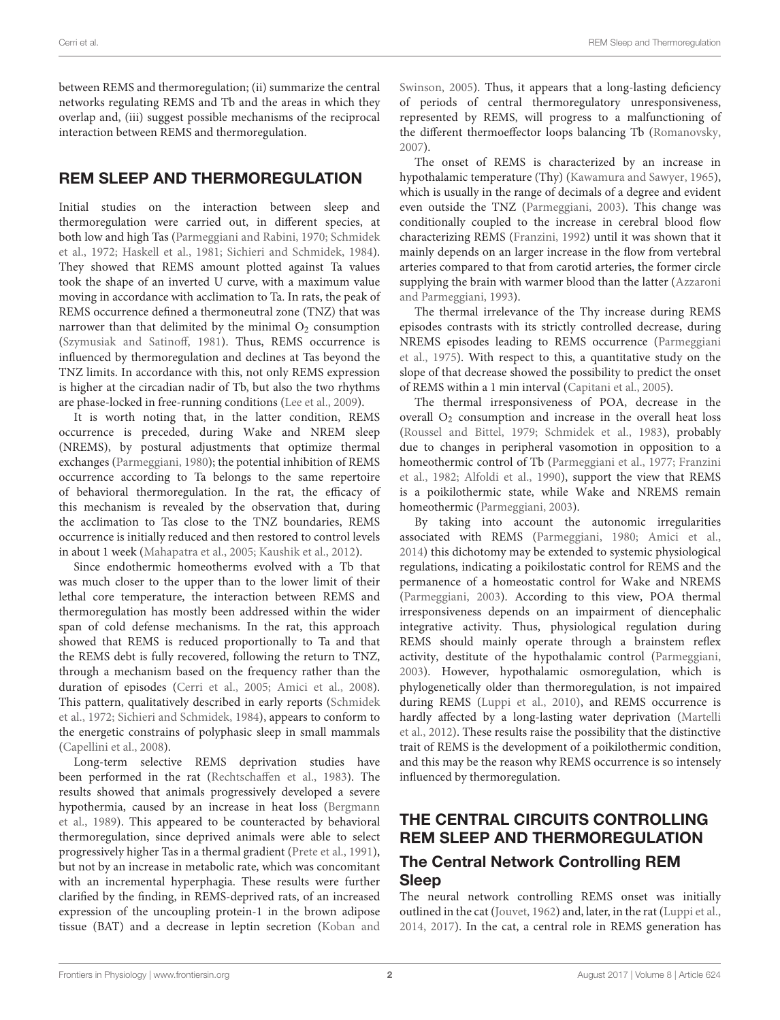between REMS and thermoregulation; (ii) summarize the central networks regulating REMS and Tb and the areas in which they overlap and, (iii) suggest possible mechanisms of the reciprocal interaction between REMS and thermoregulation.

## REM SLEEP AND THERMOREGULATION

Initial studies on the interaction between sleep and thermoregulation were carried out, in different species, at both low and high Tas [\(Parmeggiani and Rabini, 1970;](#page-6-8) Schmidek et al., [1972;](#page-6-9) [Haskell et al., 1981;](#page-5-6) [Sichieri and Schmidek, 1984\)](#page-6-10). They showed that REMS amount plotted against Ta values took the shape of an inverted U curve, with a maximum value moving in accordance with acclimation to Ta. In rats, the peak of REMS occurrence defined a thermoneutral zone (TNZ) that was narrower than that delimited by the minimal  $O_2$  consumption [\(Szymusiak and Satinoff, 1981\)](#page-6-11). Thus, REMS occurrence is influenced by thermoregulation and declines at Tas beyond the TNZ limits. In accordance with this, not only REMS expression is higher at the circadian nadir of Tb, but also the two rhythms are phase-locked in free-running conditions [\(Lee et al., 2009\)](#page-5-7).

It is worth noting that, in the latter condition, REMS occurrence is preceded, during Wake and NREM sleep (NREMS), by postural adjustments that optimize thermal exchanges [\(Parmeggiani, 1980\)](#page-5-8); the potential inhibition of REMS occurrence according to Ta belongs to the same repertoire of behavioral thermoregulation. In the rat, the efficacy of this mechanism is revealed by the observation that, during the acclimation to Tas close to the TNZ boundaries, REMS occurrence is initially reduced and then restored to control levels in about 1 week [\(Mahapatra et al., 2005;](#page-5-9) [Kaushik et al., 2012\)](#page-5-10).

Since endothermic homeotherms evolved with a Tb that was much closer to the upper than to the lower limit of their lethal core temperature, the interaction between REMS and thermoregulation has mostly been addressed within the wider span of cold defense mechanisms. In the rat, this approach showed that REMS is reduced proportionally to Ta and that the REMS debt is fully recovered, following the return to TNZ, through a mechanism based on the frequency rather than the duration of episodes [\(Cerri et al., 2005;](#page-4-0) [Amici et al., 2008\)](#page-4-1). This pattern, qualitatively described in early reports (Schmidek et al., [1972;](#page-6-9) [Sichieri and Schmidek, 1984\)](#page-6-10), appears to conform to the energetic constrains of polyphasic sleep in small mammals [\(Capellini et al., 2008\)](#page-4-3).

Long-term selective REMS deprivation studies have been performed in the rat [\(Rechtschaffen et al., 1983\)](#page-6-12). The results showed that animals progressively developed a severe hypothermia, caused by an increase in heat loss (Bergmann et al., [1989\)](#page-4-4). This appeared to be counteracted by behavioral thermoregulation, since deprived animals were able to select progressively higher Tas in a thermal gradient [\(Prete et al., 1991\)](#page-6-13), but not by an increase in metabolic rate, which was concomitant with an incremental hyperphagia. These results were further clarified by the finding, in REMS-deprived rats, of an increased expression of the uncoupling protein-1 in the brown adipose tissue (BAT) and a decrease in leptin secretion (Koban and

Swinson, [2005\)](#page-5-11). Thus, it appears that a long-lasting deficiency of periods of central thermoregulatory unresponsiveness, represented by REMS, will progress to a malfunctioning of the different thermoeffector loops balancing Tb [\(Romanovsky,](#page-6-14) [2007\)](#page-6-14).

The onset of REMS is characterized by an increase in hypothalamic temperature (Thy) [\(Kawamura and Sawyer, 1965\)](#page-5-12), which is usually in the range of decimals of a degree and evident even outside the TNZ [\(Parmeggiani, 2003\)](#page-5-0). This change was conditionally coupled to the increase in cerebral blood flow characterizing REMS [\(Franzini, 1992\)](#page-5-13) until it was shown that it mainly depends on an larger increase in the flow from vertebral arteries compared to that from carotid arteries, the former circle supplying the brain with warmer blood than the latter (Azzaroni and Parmeggiani, [1993\)](#page-4-5).

The thermal irrelevance of the Thy increase during REMS episodes contrasts with its strictly controlled decrease, during NREMS episodes leading to REMS occurrence (Parmeggiani et al., [1975\)](#page-5-14). With respect to this, a quantitative study on the slope of that decrease showed the possibility to predict the onset of REMS within a 1 min interval [\(Capitani et al., 2005\)](#page-4-6).

The thermal irresponsiveness of POA, decrease in the overall  $O_2$  consumption and increase in the overall heat loss [\(Roussel and Bittel, 1979;](#page-6-15) [Schmidek et al., 1983\)](#page-6-16), probably due to changes in peripheral vasomotion in opposition to a homeothermic control of Tb [\(Parmeggiani et al., 1977;](#page-6-3) Franzini et al., [1982;](#page-5-15) [Alfoldi et al., 1990\)](#page-4-7), support the view that REMS is a poikilothermic state, while Wake and NREMS remain homeothermic [\(Parmeggiani, 2003\)](#page-5-0).

By taking into account the autonomic irregularities associated with REMS [\(Parmeggiani, 1980;](#page-5-8) [Amici et al.,](#page-4-8) [2014\)](#page-4-8) this dichotomy may be extended to systemic physiological regulations, indicating a poikilostatic control for REMS and the permanence of a homeostatic control for Wake and NREMS [\(Parmeggiani, 2003\)](#page-5-0). According to this view, POA thermal irresponsiveness depends on an impairment of diencephalic integrative activity. Thus, physiological regulation during REMS should mainly operate through a brainstem reflex activity, destitute of the hypothalamic control [\(Parmeggiani,](#page-5-0) [2003\)](#page-5-0). However, hypothalamic osmoregulation, which is phylogenetically older than thermoregulation, is not impaired during REMS [\(Luppi et al., 2010\)](#page-5-16), and REMS occurrence is hardly affected by a long-lasting water deprivation (Martelli et al., [2012\)](#page-5-17). These results raise the possibility that the distinctive trait of REMS is the development of a poikilothermic condition, and this may be the reason why REMS occurrence is so intensely influenced by thermoregulation.

## THE CENTRAL CIRCUITS CONTROLLING REM SLEEP AND THERMOREGULATION

#### The Central Network Controlling REM Sleep

The neural network controlling REMS onset was initially outlined in the cat [\(Jouvet, 1962\)](#page-5-18) and, later, in the rat [\(Luppi et al.,](#page-5-19) [2014,](#page-5-19) [2017\)](#page-5-20). In the cat, a central role in REMS generation has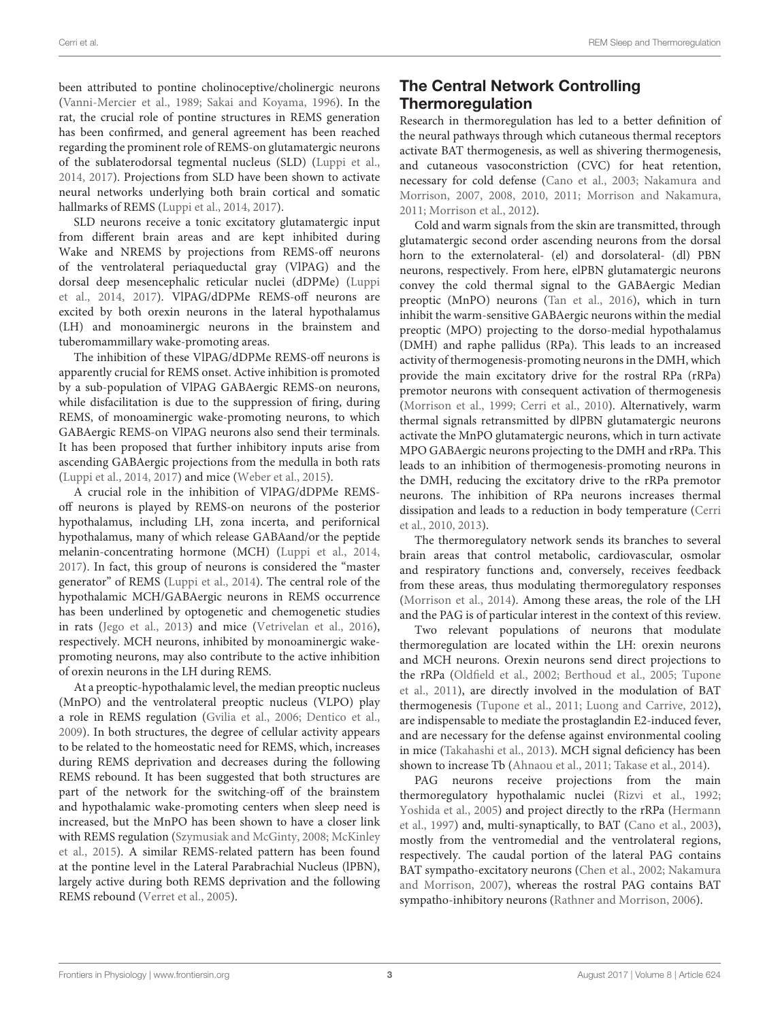been attributed to pontine cholinoceptive/cholinergic neurons [\(Vanni-Mercier et al., 1989;](#page-6-17) [Sakai and Koyama, 1996\)](#page-6-18). In the rat, the crucial role of pontine structures in REMS generation has been confirmed, and general agreement has been reached regarding the prominent role of REMS-on glutamatergic neurons of the sublaterodorsal tegmental nucleus (SLD) [\(Luppi et al.,](#page-5-19) [2014,](#page-5-19) [2017\)](#page-5-20). Projections from SLD have been shown to activate neural networks underlying both brain cortical and somatic hallmarks of REMS [\(Luppi et al., 2014,](#page-5-19) [2017\)](#page-5-20).

SLD neurons receive a tonic excitatory glutamatergic input from different brain areas and are kept inhibited during Wake and NREMS by projections from REMS-off neurons of the ventrolateral periaqueductal gray (VlPAG) and the dorsal deep mesencephalic reticular nuclei (dDPMe) (Luppi et al., [2014,](#page-5-19) [2017\)](#page-5-20). VlPAG/dDPMe REMS-off neurons are excited by both orexin neurons in the lateral hypothalamus (LH) and monoaminergic neurons in the brainstem and tuberomammillary wake-promoting areas.

The inhibition of these VlPAG/dDPMe REMS-off neurons is apparently crucial for REMS onset. Active inhibition is promoted by a sub-population of VlPAG GABAergic REMS-on neurons, while disfacilitation is due to the suppression of firing, during REMS, of monoaminergic wake-promoting neurons, to which GABAergic REMS-on VlPAG neurons also send their terminals. It has been proposed that further inhibitory inputs arise from ascending GABAergic projections from the medulla in both rats [\(Luppi et al., 2014,](#page-5-19) [2017\)](#page-5-20) and mice [\(Weber et al., 2015\)](#page-6-19).

A crucial role in the inhibition of VlPAG/dDPMe REMSoff neurons is played by REMS-on neurons of the posterior hypothalamus, including LH, zona incerta, and perifornical hypothalamus, many of which release GABAand/or the peptide melanin-concentrating hormone (MCH) [\(Luppi et al., 2014,](#page-5-19) [2017\)](#page-5-20). In fact, this group of neurons is considered the "master generator" of REMS [\(Luppi et al., 2014\)](#page-5-19). The central role of the hypothalamic MCH/GABAergic neurons in REMS occurrence has been underlined by optogenetic and chemogenetic studies in rats [\(Jego et al., 2013\)](#page-5-21) and mice [\(Vetrivelan et al., 2016\)](#page-6-20), respectively. MCH neurons, inhibited by monoaminergic wakepromoting neurons, may also contribute to the active inhibition of orexin neurons in the LH during REMS.

At a preoptic-hypothalamic level, the median preoptic nucleus (MnPO) and the ventrolateral preoptic nucleus (VLPO) play a role in REMS regulation [\(Gvilia et al., 2006;](#page-5-22) [Dentico et al.,](#page-4-9) [2009\)](#page-4-9). In both structures, the degree of cellular activity appears to be related to the homeostatic need for REMS, which, increases during REMS deprivation and decreases during the following REMS rebound. It has been suggested that both structures are part of the network for the switching-off of the brainstem and hypothalamic wake-promoting centers when sleep need is increased, but the MnPO has been shown to have a closer link with REMS regulation [\(Szymusiak and McGinty, 2008;](#page-6-21) McKinley et al., [2015\)](#page-5-23). A similar REMS-related pattern has been found at the pontine level in the Lateral Parabrachial Nucleus (lPBN), largely active during both REMS deprivation and the following REMS rebound [\(Verret et al., 2005\)](#page-6-22).

## The Central Network Controlling Thermoregulation

Research in thermoregulation has led to a better definition of the neural pathways through which cutaneous thermal receptors activate BAT thermogenesis, as well as shivering thermogenesis, and cutaneous vasoconstriction (CVC) for heat retention, necessary for cold defense [\(Cano et al., 2003;](#page-4-10) Nakamura and Morrison, [2007,](#page-5-24) [2008,](#page-5-25) [2010,](#page-5-26) [2011;](#page-5-27) [Morrison and Nakamura,](#page-5-5) [2011;](#page-5-5) [Morrison et al., 2012\)](#page-5-28).

Cold and warm signals from the skin are transmitted, through glutamatergic second order ascending neurons from the dorsal horn to the externolateral- (el) and dorsolateral- (dl) PBN neurons, respectively. From here, elPBN glutamatergic neurons convey the cold thermal signal to the GABAergic Median preoptic (MnPO) neurons [\(Tan et al., 2016\)](#page-6-23), which in turn inhibit the warm-sensitive GABAergic neurons within the medial preoptic (MPO) projecting to the dorso-medial hypothalamus (DMH) and raphe pallidus (RPa). This leads to an increased activity of thermogenesis-promoting neurons in the DMH, which provide the main excitatory drive for the rostral RPa (rRPa) premotor neurons with consequent activation of thermogenesis [\(Morrison et al., 1999;](#page-5-29) [Cerri et al., 2010\)](#page-4-11). Alternatively, warm thermal signals retransmitted by dlPBN glutamatergic neurons activate the MnPO glutamatergic neurons, which in turn activate MPO GABAergic neurons projecting to the DMH and rRPa. This leads to an inhibition of thermogenesis-promoting neurons in the DMH, reducing the excitatory drive to the rRPa premotor neurons. The inhibition of RPa neurons increases thermal dissipation and leads to a reduction in body temperature (Cerri et al., [2010,](#page-4-11) [2013\)](#page-4-12).

The thermoregulatory network sends its branches to several brain areas that control metabolic, cardiovascular, osmolar and respiratory functions and, conversely, receives feedback from these areas, thus modulating thermoregulatory responses [\(Morrison et al., 2014\)](#page-5-30). Among these areas, the role of the LH and the PAG is of particular interest in the context of this review.

Two relevant populations of neurons that modulate thermoregulation are located within the LH: orexin neurons and MCH neurons. Orexin neurons send direct projections to the rRPa [\(Oldfield et al., 2002;](#page-5-31) [Berthoud et al., 2005;](#page-4-13) Tupone et al., [2011\)](#page-6-24), are directly involved in the modulation of BAT thermogenesis [\(Tupone et al., 2011;](#page-6-24) [Luong and Carrive, 2012\)](#page-5-32), are indispensable to mediate the prostaglandin E2-induced fever, and are necessary for the defense against environmental cooling in mice [\(Takahashi et al., 2013\)](#page-6-25). MCH signal deficiency has been shown to increase Tb [\(Ahnaou et al., 2011;](#page-4-14) [Takase et al., 2014\)](#page-6-26).

PAG neurons receive projections from the main thermoregulatory hypothalamic nuclei [\(Rizvi et al., 1992;](#page-6-27) [Yoshida et al., 2005\)](#page-6-28) and project directly to the rRPa (Hermann et al., [1997\)](#page-5-33) and, multi-synaptically, to BAT [\(Cano et al., 2003\)](#page-4-10), mostly from the ventromedial and the ventrolateral regions, respectively. The caudal portion of the lateral PAG contains BAT sympatho-excitatory neurons [\(Chen et al., 2002;](#page-4-15) Nakamura and Morrison, [2007\)](#page-5-24), whereas the rostral PAG contains BAT sympatho-inhibitory neurons [\(Rathner and Morrison, 2006\)](#page-6-29).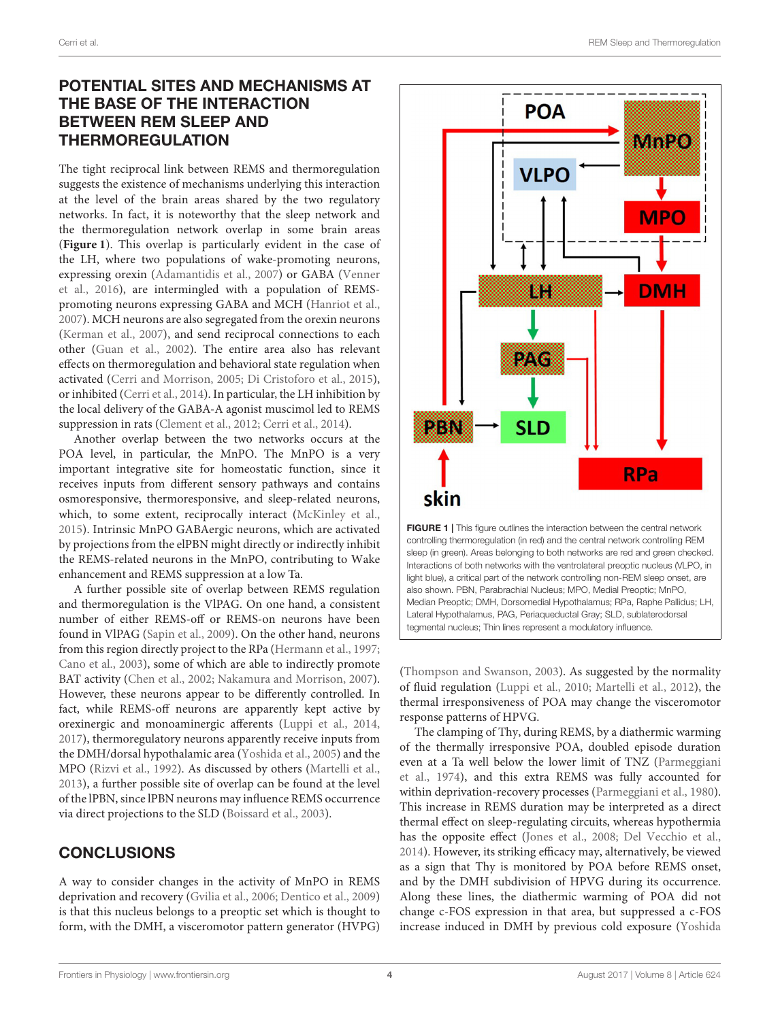### POTENTIAL SITES AND MECHANISMS AT THE BASE OF THE INTERACTION BETWEEN REM SLEEP AND THERMOREGULATION

The tight reciprocal link between REMS and thermoregulation suggests the existence of mechanisms underlying this interaction at the level of the brain areas shared by the two regulatory networks. In fact, it is noteworthy that the sleep network and the thermoregulation network overlap in some brain areas (**[Figure 1](#page-3-0)**). This overlap is particularly evident in the case of the LH, where two populations of wake-promoting neurons, expressing orexin [\(Adamantidis et al., 2007\)](#page-4-16) or GABA (Venner et al., [2016\)](#page-6-30), are intermingled with a population of REMSpromoting neurons expressing GABA and MCH [\(Hanriot et al.,](#page-5-34) [2007\)](#page-5-34). MCH neurons are also segregated from the orexin neurons [\(Kerman et al., 2007\)](#page-5-35), and send reciprocal connections to each other [\(Guan et al., 2002\)](#page-5-36). The entire area also has relevant effects on thermoregulation and behavioral state regulation when activated [\(Cerri and Morrison, 2005;](#page-4-17) [Di Cristoforo et al., 2015\)](#page-5-37), or inhibited [\(Cerri et al., 2014\)](#page-4-18). In particular, the LH inhibition by the local delivery of the GABA-A agonist muscimol led to REMS suppression in rats [\(Clement et al., 2012;](#page-4-19) [Cerri et al., 2014\)](#page-4-18).

Another overlap between the two networks occurs at the POA level, in particular, the MnPO. The MnPO is a very important integrative site for homeostatic function, since it receives inputs from different sensory pathways and contains osmoresponsive, thermoresponsive, and sleep-related neurons, which, to some extent, reciprocally interact [\(McKinley et al.,](#page-5-23) [2015\)](#page-5-23). Intrinsic MnPO GABAergic neurons, which are activated by projections from the elPBN might directly or indirectly inhibit the REMS-related neurons in the MnPO, contributing to Wake enhancement and REMS suppression at a low Ta.

A further possible site of overlap between REMS regulation and thermoregulation is the VlPAG. On one hand, a consistent number of either REMS-off or REMS-on neurons have been found in VlPAG [\(Sapin et al., 2009\)](#page-6-31). On the other hand, neurons from this region directly project to the RPa [\(Hermann et al., 1997;](#page-5-33) [Cano et al., 2003\)](#page-4-10), some of which are able to indirectly promote BAT activity [\(Chen et al., 2002;](#page-4-15) [Nakamura and Morrison, 2007\)](#page-5-24). However, these neurons appear to be differently controlled. In fact, while REMS-off neurons are apparently kept active by orexinergic and monoaminergic afferents [\(Luppi et al., 2014,](#page-5-19) [2017\)](#page-5-20), thermoregulatory neurons apparently receive inputs from the DMH/dorsal hypothalamic area [\(Yoshida et al., 2005\)](#page-6-28) and the MPO [\(Rizvi et al., 1992\)](#page-6-27). As discussed by others [\(Martelli et al.,](#page-5-38) [2013\)](#page-5-38), a further possible site of overlap can be found at the level of the lPBN, since lPBN neurons may influence REMS occurrence via direct projections to the SLD [\(Boissard et al., 2003\)](#page-4-20).

#### **CONCLUSIONS**

A way to consider changes in the activity of MnPO in REMS deprivation and recovery [\(Gvilia et al., 2006;](#page-5-22) [Dentico et al., 2009\)](#page-4-9) is that this nucleus belongs to a preoptic set which is thought to form, with the DMH, a visceromotor pattern generator (HVPG)



<span id="page-3-0"></span>

[\(Thompson and Swanson, 2003\)](#page-6-32). As suggested by the normality of fluid regulation [\(Luppi et al., 2010;](#page-5-16) [Martelli et al., 2012\)](#page-5-17), the thermal irresponsiveness of POA may change the visceromotor response patterns of HPVG.

The clamping of Thy, during REMS, by a diathermic warming of the thermally irresponsive POA, doubled episode duration even at a Ta well below the lower limit of TNZ (Parmeggiani et al., [1974\)](#page-6-33), and this extra REMS was fully accounted for within deprivation-recovery processes [\(Parmeggiani et al., 1980\)](#page-6-34). This increase in REMS duration may be interpreted as a direct thermal effect on sleep-regulating circuits, whereas hypothermia has the opposite effect [\(Jones et al., 2008;](#page-5-39) [Del Vecchio et al.,](#page-4-21) [2014\)](#page-4-21). However, its striking efficacy may, alternatively, be viewed as a sign that Thy is monitored by POA before REMS onset, and by the DMH subdivision of HPVG during its occurrence. Along these lines, the diathermic warming of POA did not change c-FOS expression in that area, but suppressed a c-FOS increase induced in DMH by previous cold exposure (Yoshida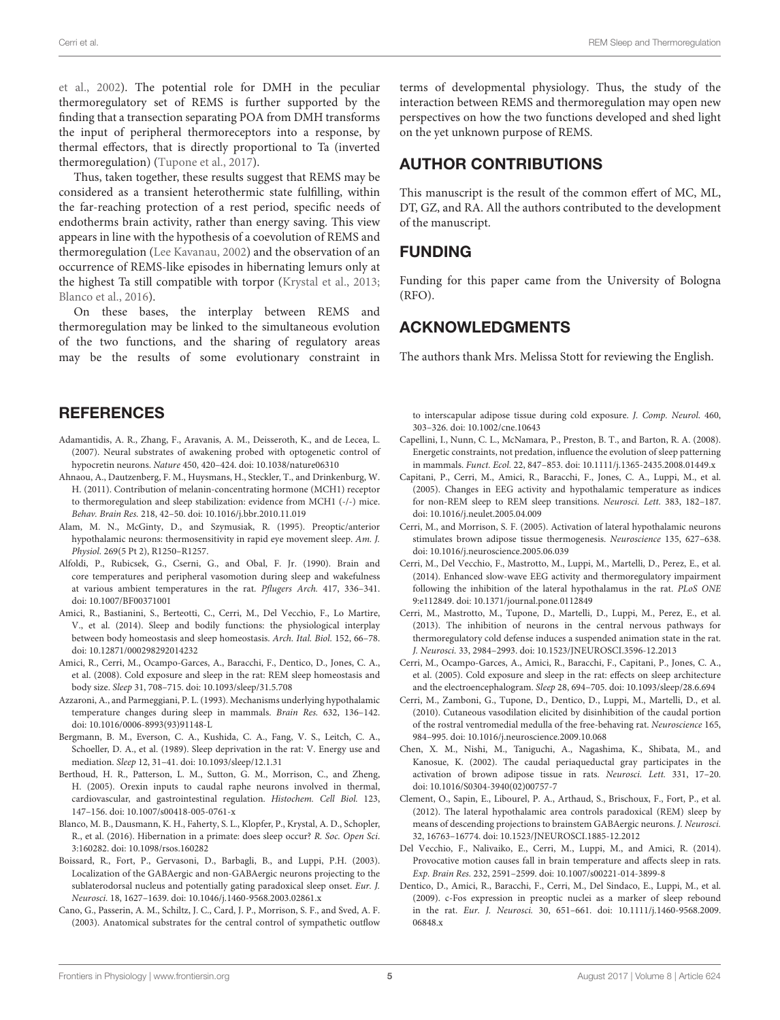et al., [2002\)](#page-6-35). The potential role for DMH in the peculiar thermoregulatory set of REMS is further supported by the finding that a transection separating POA from DMH transforms the input of peripheral thermoreceptors into a response, by thermal effectors, that is directly proportional to Ta (inverted thermoregulation) [\(Tupone et al., 2017\)](#page-6-36).

Thus, taken together, these results suggest that REMS may be considered as a transient heterothermic state fulfilling, within the far-reaching protection of a rest period, specific needs of endotherms brain activity, rather than energy saving. This view appears in line with the hypothesis of a coevolution of REMS and thermoregulation [\(Lee Kavanau, 2002\)](#page-5-40) and the observation of an occurrence of REMS-like episodes in hibernating lemurs only at the highest Ta still compatible with torpor [\(Krystal et al., 2013;](#page-5-41) [Blanco et al., 2016\)](#page-4-22).

On these bases, the interplay between REMS and thermoregulation may be linked to the simultaneous evolution of the two functions, and the sharing of regulatory areas may be the results of some evolutionary constraint in

#### **REFERENCES**

- <span id="page-4-16"></span>Adamantidis, A. R., Zhang, F., Aravanis, A. M., Deisseroth, K., and de Lecea, L. (2007). Neural substrates of awakening probed with optogenetic control of hypocretin neurons. Nature 450, 420–424. doi: [10.1038/nature06310](https://doi.org/10.1038/nature06310)
- <span id="page-4-14"></span>Ahnaou, A., Dautzenberg, F. M., Huysmans, H., Steckler, T., and Drinkenburg, W. H. (2011). Contribution of melanin-concentrating hormone (MCH1) receptor to thermoregulation and sleep stabilization: evidence from MCH1 (-/-) mice. Behav. Brain Res. 218, 42–50. doi: [10.1016/j.bbr.2010.11.019](https://doi.org/10.1016/j.bbr.2010.11.019)
- <span id="page-4-2"></span>Alam, M. N., McGinty, D., and Szymusiak, R. (1995). Preoptic/anterior hypothalamic neurons: thermosensitivity in rapid eye movement sleep. Am. J. Physiol. 269(5 Pt 2), R1250–R1257.
- <span id="page-4-7"></span>Alfoldi, P., Rubicsek, G., Cserni, G., and Obal, F. Jr. (1990). Brain and core temperatures and peripheral vasomotion during sleep and wakefulness at various ambient temperatures in the rat. Pflugers Arch. 417, 336–341. doi: [10.1007/BF00371001](https://doi.org/10.1007/BF00371001)
- <span id="page-4-8"></span>Amici, R., Bastianini, S., Berteotti, C., Cerri, M., Del Vecchio, F., Lo Martire, V., et al. (2014). Sleep and bodily functions: the physiological interplay between body homeostasis and sleep homeostasis. Arch. Ital. Biol. 152, 66–78. doi: [10.12871/000298292014232](https://doi.org/10.12871/000298292014232)
- <span id="page-4-1"></span>Amici, R., Cerri, M., Ocampo-Garces, A., Baracchi, F., Dentico, D., Jones, C. A., et al. (2008). Cold exposure and sleep in the rat: REM sleep homeostasis and body size. Sleep 31, 708–715. doi: [10.1093/sleep/31.5.708](https://doi.org/10.1093/sleep/31.5.708)
- <span id="page-4-5"></span>Azzaroni, A., and Parmeggiani, P. L. (1993). Mechanisms underlying hypothalamic temperature changes during sleep in mammals. Brain Res. 632, 136–142. doi: [10.1016/0006-8993\(93\)91148-L](https://doi.org/10.1016/0006-8993(93)91148-L)
- <span id="page-4-4"></span>Bergmann, B. M., Everson, C. A., Kushida, C. A., Fang, V. S., Leitch, C. A., Schoeller, D. A., et al. (1989). Sleep deprivation in the rat: V. Energy use and mediation. Sleep 12, 31–41. doi: [10.1093/sleep/12.1.31](https://doi.org/10.1093/sleep/12.1.31)
- <span id="page-4-13"></span>Berthoud, H. R., Patterson, L. M., Sutton, G. M., Morrison, C., and Zheng, H. (2005). Orexin inputs to caudal raphe neurons involved in thermal, cardiovascular, and gastrointestinal regulation. Histochem. Cell Biol. 123, 147–156. doi: [10.1007/s00418-005-0761-x](https://doi.org/10.1007/s00418-005-0761-x)
- <span id="page-4-22"></span>Blanco, M. B., Dausmann, K. H., Faherty, S. L., Klopfer, P., Krystal, A. D., Schopler, R., et al. (2016). Hibernation in a primate: does sleep occur? R. Soc. Open Sci. 3:160282. doi: [10.1098/rsos.160282](https://doi.org/10.1098/rsos.160282)
- <span id="page-4-20"></span>Boissard, R., Fort, P., Gervasoni, D., Barbagli, B., and Luppi, P.H. (2003). Localization of the GABAergic and non-GABAergic neurons projecting to the sublaterodorsal nucleus and potentially gating paradoxical sleep onset. Eur. J. Neurosci. 18, 1627–1639. doi: [10.1046/j.1460-9568.2003.02861.x](https://doi.org/10.1046/j.1460-9568.2003.02861.x)
- <span id="page-4-10"></span>Cano, G., Passerin, A. M., Schiltz, J. C., Card, J. P., Morrison, S. F., and Sved, A. F. (2003). Anatomical substrates for the central control of sympathetic outflow

terms of developmental physiology. Thus, the study of the interaction between REMS and thermoregulation may open new perspectives on how the two functions developed and shed light on the yet unknown purpose of REMS.

## AUTHOR CONTRIBUTIONS

This manuscript is the result of the common effert of MC, ML, DT, GZ, and RA. All the authors contributed to the development of the manuscript.

#### FUNDING

Funding for this paper came from the University of Bologna (RFO).

#### ACKNOWLEDGMENTS

The authors thank Mrs. Melissa Stott for reviewing the English.

to interscapular adipose tissue during cold exposure. J. Comp. Neurol. 460, 303–326. doi: [10.1002/cne.10643](https://doi.org/10.1002/cne.10643)

- <span id="page-4-3"></span>Capellini, I., Nunn, C. L., McNamara, P., Preston, B. T., and Barton, R. A. (2008). Energetic constraints, not predation, influence the evolution of sleep patterning in mammals. Funct. Ecol. 22, 847–853. doi: [10.1111/j.1365-2435.2008.01449.x](https://doi.org/10.1111/j.1365-2435.2008.01449.x)
- <span id="page-4-6"></span>Capitani, P., Cerri, M., Amici, R., Baracchi, F., Jones, C. A., Luppi, M., et al. (2005). Changes in EEG activity and hypothalamic temperature as indices for non-REM sleep to REM sleep transitions. Neurosci. Lett. 383, 182–187. doi: [10.1016/j.neulet.2005.04.009](https://doi.org/10.1016/j.neulet.2005.04.009)
- <span id="page-4-17"></span>Cerri, M., and Morrison, S. F. (2005). Activation of lateral hypothalamic neurons stimulates brown adipose tissue thermogenesis. Neuroscience 135, 627–638. doi: [10.1016/j.neuroscience.2005.06.039](https://doi.org/10.1016/j.neuroscience.2005.06.039)
- <span id="page-4-18"></span>Cerri, M., Del Vecchio, F., Mastrotto, M., Luppi, M., Martelli, D., Perez, E., et al. (2014). Enhanced slow-wave EEG activity and thermoregulatory impairment following the inhibition of the lateral hypothalamus in the rat. PLoS ONE 9:e112849. doi: [10.1371/journal.pone.0112849](https://doi.org/10.1371/journal.pone.0112849)
- <span id="page-4-12"></span>Cerri, M., Mastrotto, M., Tupone, D., Martelli, D., Luppi, M., Perez, E., et al. (2013). The inhibition of neurons in the central nervous pathways for thermoregulatory cold defense induces a suspended animation state in the rat. J. Neurosci. 33, 2984–2993. doi: [10.1523/JNEUROSCI.3596-12.2013](https://doi.org/10.1523/JNEUROSCI.3596-12.2013)
- <span id="page-4-0"></span>Cerri, M., Ocampo-Garces, A., Amici, R., Baracchi, F., Capitani, P., Jones, C. A., et al. (2005). Cold exposure and sleep in the rat: effects on sleep architecture and the electroencephalogram. Sleep 28, 694–705. doi: [10.1093/sleep/28.6.694](https://doi.org/10.1093/sleep/28.6.694)
- <span id="page-4-11"></span>Cerri, M., Zamboni, G., Tupone, D., Dentico, D., Luppi, M., Martelli, D., et al. (2010). Cutaneous vasodilation elicited by disinhibition of the caudal portion of the rostral ventromedial medulla of the free-behaving rat. Neuroscience 165, 984–995. doi: [10.1016/j.neuroscience.2009.10.068](https://doi.org/10.1016/j.neuroscience.2009.10.068)
- <span id="page-4-15"></span>Chen, X. M., Nishi, M., Taniguchi, A., Nagashima, K., Shibata, M., and Kanosue, K. (2002). The caudal periaqueductal gray participates in the activation of brown adipose tissue in rats. Neurosci. Lett. 331, 17–20. doi: [10.1016/S0304-3940\(02\)00757-7](https://doi.org/10.1016/S0304-3940(02)00757-7)
- <span id="page-4-19"></span>Clement, O., Sapin, E., Libourel, P. A., Arthaud, S., Brischoux, F., Fort, P., et al. (2012). The lateral hypothalamic area controls paradoxical (REM) sleep by means of descending projections to brainstem GABAergic neurons. J. Neurosci. 32, 16763–16774. doi: [10.1523/JNEUROSCI.1885-12.2012](https://doi.org/10.1523/JNEUROSCI.1885-12.2012)
- <span id="page-4-21"></span>Del Vecchio, F., Nalivaiko, E., Cerri, M., Luppi, M., and Amici, R. (2014). Provocative motion causes fall in brain temperature and affects sleep in rats. Exp. Brain Res. 232, 2591–2599. doi: [10.1007/s00221-014-3899-8](https://doi.org/10.1007/s00221-014-3899-8)
- <span id="page-4-9"></span>Dentico, D., Amici, R., Baracchi, F., Cerri, M., Del Sindaco, E., Luppi, M., et al. (2009). c-Fos expression in preoptic nuclei as a marker of sleep rebound in the rat. Eur. J. Neurosci. [30, 651–661. doi: 10.1111/j.1460-9568.2009.](https://doi.org/10.1111/j.1460-9568.2009.06848.x) 06848 x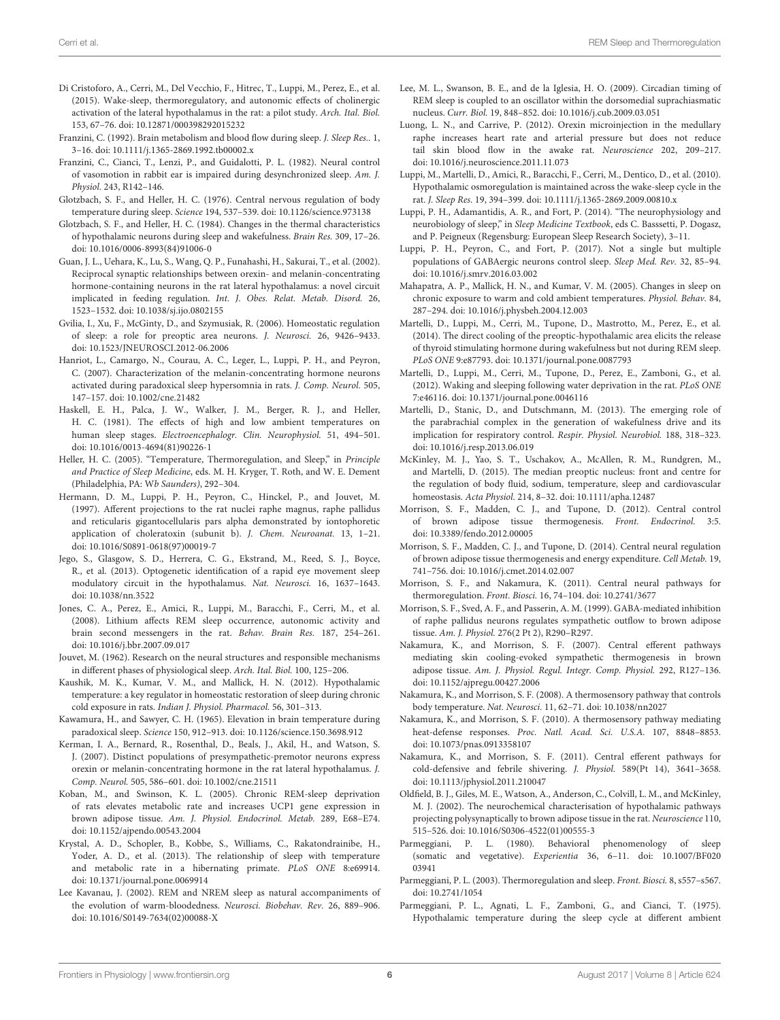- <span id="page-5-37"></span>Di Cristoforo, A., Cerri, M., Del Vecchio, F., Hitrec, T., Luppi, M., Perez, E., et al. (2015). Wake-sleep, thermoregulatory, and autonomic effects of cholinergic activation of the lateral hypothalamus in the rat: a pilot study. Arch. Ital. Biol. 153, 67–76. doi: [10.12871/000398292015232](https://doi.org/10.12871/000398292015232)
- <span id="page-5-13"></span>Franzini, C. (1992). Brain metabolism and blood flow during sleep. J. Sleep Res.. 1, 3–16. doi: [10.1111/j.1365-2869.1992.tb00002.x](https://doi.org/10.1111/j.1365-2869.1992.tb00002.x)
- <span id="page-5-15"></span>Franzini, C., Cianci, T., Lenzi, P., and Guidalotti, P. L. (1982). Neural control of vasomotion in rabbit ear is impaired during desynchronized sleep. Am. J. Physiol. 243, R142–146.
- <span id="page-5-2"></span>Glotzbach, S. F., and Heller, H. C. (1976). Central nervous regulation of body temperature during sleep. Science 194, 537–539. doi: [10.1126/science.973138](https://doi.org/10.1126/science.973138)
- <span id="page-5-4"></span>Glotzbach, S. F., and Heller, H. C. (1984). Changes in the thermal characteristics of hypothalamic neurons during sleep and wakefulness. Brain Res. 309, 17–26. doi: [10.1016/0006-8993\(84\)91006-0](https://doi.org/10.1016/0006-8993(84)91006-0)
- <span id="page-5-36"></span>Guan, J. L., Uehara, K., Lu, S., Wang, Q. P., Funahashi, H., Sakurai, T., et al. (2002). Reciprocal synaptic relationships between orexin- and melanin-concentrating hormone-containing neurons in the rat lateral hypothalamus: a novel circuit implicated in feeding regulation. Int. J. Obes. Relat. Metab. Disord. 26, 1523–1532. doi: [10.1038/sj.ijo.0802155](https://doi.org/10.1038/sj.ijo.0802155)
- <span id="page-5-22"></span>Gvilia, I., Xu, F., McGinty, D., and Szymusiak, R. (2006). Homeostatic regulation of sleep: a role for preoptic area neurons. J. Neurosci. 26, 9426–9433. doi: [10.1523/JNEUROSCI.2012-06.2006](https://doi.org/10.1523/JNEUROSCI.2012-06.2006)
- <span id="page-5-34"></span>Hanriot, L., Camargo, N., Courau, A. C., Leger, L., Luppi, P. H., and Peyron, C. (2007). Characterization of the melanin-concentrating hormone neurons activated during paradoxical sleep hypersomnia in rats. J. Comp. Neurol. 505, 147–157. doi: [10.1002/cne.21482](https://doi.org/10.1002/cne.21482)
- <span id="page-5-6"></span>Haskell, E. H., Palca, J. W., Walker, J. M., Berger, R. J., and Heller, H. C. (1981). The effects of high and low ambient temperatures on human sleep stages. Electroencephalogr. Clin. Neurophysiol. 51, 494–501. doi: [10.1016/0013-4694\(81\)90226-1](https://doi.org/10.1016/0013-4694(81)90226-1)
- <span id="page-5-1"></span>Heller, H. C. (2005). "Temperature, Thermoregulation, and Sleep," in Principle and Practice of Sleep Medicine, eds. M. H. Kryger, T. Roth, and W. E. Dement (Philadelphia, PA: Wb Saunders), 292–304.
- <span id="page-5-33"></span>Hermann, D. M., Luppi, P. H., Peyron, C., Hinckel, P., and Jouvet, M. (1997). Afferent projections to the rat nuclei raphe magnus, raphe pallidus and reticularis gigantocellularis pars alpha demonstrated by iontophoretic application of choleratoxin (subunit b). J. Chem. Neuroanat. 13, 1–21. doi: [10.1016/S0891-0618\(97\)00019-7](https://doi.org/10.1016/S0891-0618(97)00019-7)
- <span id="page-5-21"></span>Jego, S., Glasgow, S. D., Herrera, C. G., Ekstrand, M., Reed, S. J., Boyce, R., et al. (2013). Optogenetic identification of a rapid eye movement sleep modulatory circuit in the hypothalamus. Nat. Neurosci. 16, 1637–1643. doi: [10.1038/nn.3522](https://doi.org/10.1038/nn.3522)
- <span id="page-5-39"></span>Jones, C. A., Perez, E., Amici, R., Luppi, M., Baracchi, F., Cerri, M., et al. (2008). Lithium affects REM sleep occurrence, autonomic activity and brain second messengers in the rat. Behav. Brain Res. 187, 254–261. doi: [10.1016/j.bbr.2007.09.017](https://doi.org/10.1016/j.bbr.2007.09.017)
- <span id="page-5-18"></span>Jouvet, M. (1962). Research on the neural structures and responsible mechanisms in different phases of physiological sleep. Arch. Ital. Biol. 100, 125–206.
- <span id="page-5-10"></span>Kaushik, M. K., Kumar, V. M., and Mallick, H. N. (2012). Hypothalamic temperature: a key regulator in homeostatic restoration of sleep during chronic cold exposure in rats. Indian J. Physiol. Pharmacol. 56, 301–313.
- <span id="page-5-12"></span>Kawamura, H., and Sawyer, C. H. (1965). Elevation in brain temperature during paradoxical sleep. Science 150, 912–913. doi: [10.1126/science.150.3698.912](https://doi.org/10.1126/science.150.3698.912)
- <span id="page-5-35"></span>Kerman, I. A., Bernard, R., Rosenthal, D., Beals, J., Akil, H., and Watson, S. J. (2007). Distinct populations of presympathetic-premotor neurons express orexin or melanin-concentrating hormone in the rat lateral hypothalamus. J. Comp. Neurol. 505, 586–601. doi: [10.1002/cne.21511](https://doi.org/10.1002/cne.21511)
- <span id="page-5-11"></span>Koban, M., and Swinson, K. L. (2005). Chronic REM-sleep deprivation of rats elevates metabolic rate and increases UCP1 gene expression in brown adipose tissue. Am. J. Physiol. Endocrinol. Metab. 289, E68–E74. doi: [10.1152/ajpendo.00543.2004](https://doi.org/10.1152/ajpendo.00543.2004)
- <span id="page-5-41"></span>Krystal, A. D., Schopler, B., Kobbe, S., Williams, C., Rakatondrainibe, H., Yoder, A. D., et al. (2013). The relationship of sleep with temperature and metabolic rate in a hibernating primate. PLoS ONE 8:e69914. doi: [10.1371/journal.pone.0069914](https://doi.org/10.1371/journal.pone.0069914)
- <span id="page-5-40"></span>Lee Kavanau, J. (2002). REM and NREM sleep as natural accompaniments of the evolution of warm-bloodedness. Neurosci. Biobehav. Rev. 26, 889–906. doi: [10.1016/S0149-7634\(02\)00088-X](https://doi.org/10.1016/S0149-7634(02)00088-X)
- <span id="page-5-7"></span>Lee, M. L., Swanson, B. E., and de la Iglesia, H. O. (2009). Circadian timing of REM sleep is coupled to an oscillator within the dorsomedial suprachiasmatic nucleus. Curr. Biol. 19, 848–852. doi: [10.1016/j.cub.2009.03.051](https://doi.org/10.1016/j.cub.2009.03.051)
- <span id="page-5-32"></span>Luong, L. N., and Carrive, P. (2012). Orexin microinjection in the medullary raphe increases heart rate and arterial pressure but does not reduce tail skin blood flow in the awake rat. Neuroscience 202, 209–217. doi: [10.1016/j.neuroscience.2011.11.073](https://doi.org/10.1016/j.neuroscience.2011.11.073)
- <span id="page-5-16"></span>Luppi, M., Martelli, D., Amici, R., Baracchi, F., Cerri, M., Dentico, D., et al. (2010). Hypothalamic osmoregulation is maintained across the wake-sleep cycle in the rat. J. Sleep Res. 19, 394–399. doi: [10.1111/j.1365-2869.2009.00810.x](https://doi.org/10.1111/j.1365-2869.2009.00810.x)
- <span id="page-5-19"></span>Luppi, P. H., Adamantidis, A. R., and Fort, P. (2014). "The neurophysiology and neurobiology of sleep," in Sleep Medicine Textbook, eds C. Basssetti, P. Dogasz, and P. Peigneux (Regensburg: European Sleep Research Society), 3–11.
- <span id="page-5-20"></span>Luppi, P. H., Peyron, C., and Fort, P. (2017). Not a single but multiple populations of GABAergic neurons control sleep. Sleep Med. Rev. 32, 85–94. doi: [10.1016/j.smrv.2016.03.002](https://doi.org/10.1016/j.smrv.2016.03.002)
- <span id="page-5-9"></span>Mahapatra, A. P., Mallick, H. N., and Kumar, V. M. (2005). Changes in sleep on chronic exposure to warm and cold ambient temperatures. Physiol. Behav. 84, 287–294. doi: [10.1016/j.physbeh.2004.12.003](https://doi.org/10.1016/j.physbeh.2004.12.003)
- <span id="page-5-3"></span>Martelli, D., Luppi, M., Cerri, M., Tupone, D., Mastrotto, M., Perez, E., et al. (2014). The direct cooling of the preoptic-hypothalamic area elicits the release of thyroid stimulating hormone during wakefulness but not during REM sleep. PLoS ONE 9:e87793. doi: [10.1371/journal.pone.0087793](https://doi.org/10.1371/journal.pone.0087793)
- <span id="page-5-17"></span>Martelli, D., Luppi, M., Cerri, M., Tupone, D., Perez, E., Zamboni, G., et al. (2012). Waking and sleeping following water deprivation in the rat. PLoS ONE 7:e46116. doi: [10.1371/journal.pone.0046116](https://doi.org/10.1371/journal.pone.0046116)
- <span id="page-5-38"></span>Martelli, D., Stanic, D., and Dutschmann, M. (2013). The emerging role of the parabrachial complex in the generation of wakefulness drive and its implication for respiratory control. Respir. Physiol. Neurobiol. 188, 318–323. doi: [10.1016/j.resp.2013.06.019](https://doi.org/10.1016/j.resp.2013.06.019)
- <span id="page-5-23"></span>McKinley, M. J., Yao, S. T., Uschakov, A., McAllen, R. M., Rundgren, M., and Martelli, D. (2015). The median preoptic nucleus: front and centre for the regulation of body fluid, sodium, temperature, sleep and cardiovascular homeostasis. Acta Physiol. 214, 8–32. doi: [10.1111/apha.12487](https://doi.org/10.1111/apha.12487)
- <span id="page-5-28"></span>Morrison, S. F., Madden, C. J., and Tupone, D. (2012). Central control of brown adipose tissue thermogenesis. Front. Endocrinol. 3:5. doi: [10.3389/fendo.2012.00005](https://doi.org/10.3389/fendo.2012.00005)
- <span id="page-5-30"></span>Morrison, S. F., Madden, C. J., and Tupone, D. (2014). Central neural regulation of brown adipose tissue thermogenesis and energy expenditure. Cell Metab. 19, 741–756. doi: [10.1016/j.cmet.2014.02.007](https://doi.org/10.1016/j.cmet.2014.02.007)
- <span id="page-5-5"></span>Morrison, S. F., and Nakamura, K. (2011). Central neural pathways for thermoregulation. Front. Biosci. 16, 74–104. doi: [10.2741/3677](https://doi.org/10.2741/3677)
- <span id="page-5-29"></span>Morrison, S. F., Sved, A. F., and Passerin, A. M. (1999). GABA-mediated inhibition of raphe pallidus neurons regulates sympathetic outflow to brown adipose tissue. Am. J. Physiol. 276(2 Pt 2), R290–R297.
- <span id="page-5-24"></span>Nakamura, K., and Morrison, S. F. (2007). Central efferent pathways mediating skin cooling-evoked sympathetic thermogenesis in brown adipose tissue. Am. J. Physiol. Regul. Integr. Comp. Physiol. 292, R127–136. doi: [10.1152/ajpregu.00427.2006](https://doi.org/10.1152/ajpregu.00427.2006)
- <span id="page-5-25"></span>Nakamura, K., and Morrison, S. F. (2008). A thermosensory pathway that controls body temperature. Nat. Neurosci. 11, 62–71. doi: [10.1038/nn2027](https://doi.org/10.1038/nn2027)
- <span id="page-5-26"></span>Nakamura, K., and Morrison, S. F. (2010). A thermosensory pathway mediating heat-defense responses. Proc. Natl. Acad. Sci. U.S.A. 107, 8848–8853. doi: [10.1073/pnas.0913358107](https://doi.org/10.1073/pnas.0913358107)
- <span id="page-5-27"></span>Nakamura, K., and Morrison, S. F. (2011). Central efferent pathways for cold-defensive and febrile shivering. J. Physiol. 589(Pt 14), 3641–3658. doi: [10.1113/jphysiol.2011.210047](https://doi.org/10.1113/jphysiol.2011.210047)
- <span id="page-5-31"></span>Oldfield, B. J., Giles, M. E., Watson, A., Anderson, C., Colvill, L. M., and McKinley, M. J. (2002). The neurochemical characterisation of hypothalamic pathways projecting polysynaptically to brown adipose tissue in the rat. Neuroscience 110, 515–526. doi: [10.1016/S0306-4522\(01\)00555-3](https://doi.org/10.1016/S0306-4522(01)00555-3)
- <span id="page-5-8"></span>Parmeggiani, P. L. (1980). Behavioral phenomenology of sleep (somatic and vegetative). Experientia [36, 6–11. doi: 10.1007/BF020](https://doi.org/10.1007/BF02003941) 03941
- <span id="page-5-0"></span>Parmeggiani, P. L. (2003). Thermoregulation and sleep. Front. Biosci. 8, s557–s567. doi: [10.2741/1054](https://doi.org/10.2741/1054)
- <span id="page-5-14"></span>Parmeggiani, P. L., Agnati, L. F., Zamboni, G., and Cianci, T. (1975). Hypothalamic temperature during the sleep cycle at different ambient